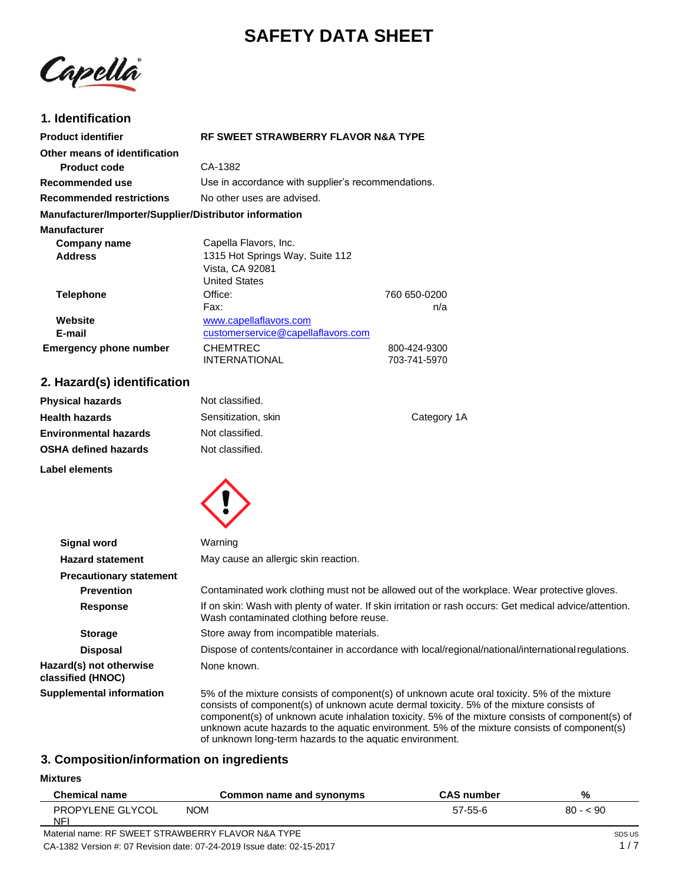# **SAFETY DATA SHEET**

Capella

### **1. Identification**

| <b>Product identifier</b>                              | RF SWEET STRAWBERRY FLAVOR N&A TYPE                                                                                                                                                                                                                                                                                                                                                          |                                                                                                         |
|--------------------------------------------------------|----------------------------------------------------------------------------------------------------------------------------------------------------------------------------------------------------------------------------------------------------------------------------------------------------------------------------------------------------------------------------------------------|---------------------------------------------------------------------------------------------------------|
| Other means of identification                          |                                                                                                                                                                                                                                                                                                                                                                                              |                                                                                                         |
| <b>Product code</b>                                    | CA-1382                                                                                                                                                                                                                                                                                                                                                                                      |                                                                                                         |
| Recommended use                                        | Use in accordance with supplier's recommendations.                                                                                                                                                                                                                                                                                                                                           |                                                                                                         |
| <b>Recommended restrictions</b>                        | No other uses are advised.                                                                                                                                                                                                                                                                                                                                                                   |                                                                                                         |
| Manufacturer/Importer/Supplier/Distributor information |                                                                                                                                                                                                                                                                                                                                                                                              |                                                                                                         |
| <b>Manufacturer</b>                                    |                                                                                                                                                                                                                                                                                                                                                                                              |                                                                                                         |
| Company name                                           | Capella Flavors, Inc.                                                                                                                                                                                                                                                                                                                                                                        |                                                                                                         |
| <b>Address</b>                                         | 1315 Hot Springs Way, Suite 112                                                                                                                                                                                                                                                                                                                                                              |                                                                                                         |
|                                                        | Vista, CA 92081<br><b>United States</b>                                                                                                                                                                                                                                                                                                                                                      |                                                                                                         |
| <b>Telephone</b>                                       | Office:                                                                                                                                                                                                                                                                                                                                                                                      | 760 650-0200                                                                                            |
|                                                        | Fax:                                                                                                                                                                                                                                                                                                                                                                                         | n/a                                                                                                     |
| Website                                                | www.capellaflavors.com                                                                                                                                                                                                                                                                                                                                                                       |                                                                                                         |
| E-mail                                                 | customerservice@capellaflavors.com                                                                                                                                                                                                                                                                                                                                                           |                                                                                                         |
| <b>Emergency phone number</b>                          | <b>CHEMTREC</b><br><b>INTERNATIONAL</b>                                                                                                                                                                                                                                                                                                                                                      | 800-424-9300<br>703-741-5970                                                                            |
|                                                        |                                                                                                                                                                                                                                                                                                                                                                                              |                                                                                                         |
| 2. Hazard(s) identification                            |                                                                                                                                                                                                                                                                                                                                                                                              |                                                                                                         |
| <b>Physical hazards</b>                                | Not classified.                                                                                                                                                                                                                                                                                                                                                                              |                                                                                                         |
| <b>Health hazards</b>                                  | Sensitization, skin                                                                                                                                                                                                                                                                                                                                                                          | Category 1A                                                                                             |
| <b>Environmental hazards</b>                           | Not classified.                                                                                                                                                                                                                                                                                                                                                                              |                                                                                                         |
| <b>OSHA defined hazards</b>                            | Not classified.                                                                                                                                                                                                                                                                                                                                                                              |                                                                                                         |
| <b>Label elements</b>                                  |                                                                                                                                                                                                                                                                                                                                                                                              |                                                                                                         |
|                                                        |                                                                                                                                                                                                                                                                                                                                                                                              |                                                                                                         |
|                                                        |                                                                                                                                                                                                                                                                                                                                                                                              |                                                                                                         |
| <b>Signal word</b>                                     | Warning                                                                                                                                                                                                                                                                                                                                                                                      |                                                                                                         |
| <b>Hazard statement</b>                                | May cause an allergic skin reaction.                                                                                                                                                                                                                                                                                                                                                         |                                                                                                         |
| <b>Precautionary statement</b>                         |                                                                                                                                                                                                                                                                                                                                                                                              |                                                                                                         |
| <b>Prevention</b>                                      |                                                                                                                                                                                                                                                                                                                                                                                              | Contaminated work clothing must not be allowed out of the workplace. Wear protective gloves.            |
| <b>Response</b>                                        | Wash contaminated clothing before reuse.                                                                                                                                                                                                                                                                                                                                                     | If on skin: Wash with plenty of water. If skin irritation or rash occurs: Get medical advice/attention. |
| <b>Storage</b>                                         | Store away from incompatible materials.                                                                                                                                                                                                                                                                                                                                                      |                                                                                                         |
| <b>Disposal</b>                                        | Dispose of contents/container in accordance with local/regional/national/international regulations.                                                                                                                                                                                                                                                                                          |                                                                                                         |
| Hazard(s) not otherwise<br>classified (HNOC)           | None known.                                                                                                                                                                                                                                                                                                                                                                                  |                                                                                                         |
| <b>Supplemental information</b>                        | 5% of the mixture consists of component(s) of unknown acute oral toxicity. 5% of the mixture<br>consists of component(s) of unknown acute dermal toxicity. 5% of the mixture consists of<br>component(s) of unknown acute inhalation toxicity. 5% of the mixture consists of component(s) of<br>unknown acute hazards to the aquatic environment. 5% of the mixture consists of component(s) |                                                                                                         |

## **3. Composition/information on ingredients**

**Mixtures**

| <b>Chemical name</b>          | Common name and synonyms                           | <b>CAS number</b> | %         |
|-------------------------------|----------------------------------------------------|-------------------|-----------|
| <b>PROPYLENE GLYCOL</b><br>NF | <b>NOM</b>                                         | 57-55-6           | $80 - 90$ |
|                               | Material name: RF SWEET STRAWBERRY FLAVOR N&A TYPE |                   | SDS US    |

of unknown long-term hazards to the aquatic environment.

Material name: RF SWEET STRAWBERRY FLAVOR N&A TYPE CA-1382 Version #: 07 Revision date: 07-24-2019 Issue date: 02-15-2017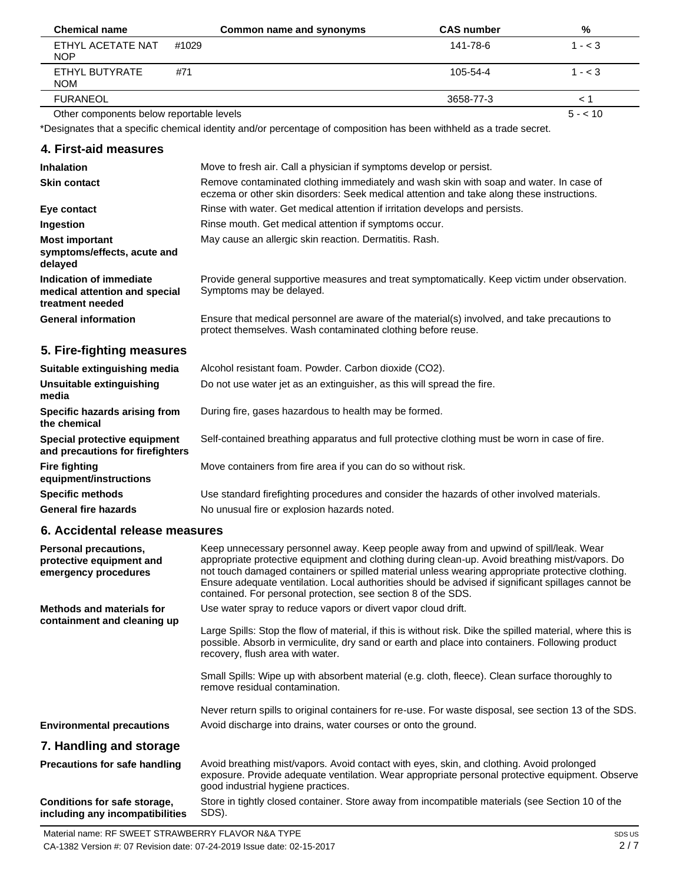| <b>Chemical name</b>                     | Common name and synonyms | <b>CAS number</b> | %         |
|------------------------------------------|--------------------------|-------------------|-----------|
| ETHYL ACETATE NAT<br><b>NOP</b>          | #1029                    | 141-78-6          | $1 - < 3$ |
| ETHYL BUTYRATE<br><b>NOM</b>             | #71                      | 105-54-4          | $1 - < 3$ |
| <b>FURANEOL</b>                          |                          | 3658-77-3         |           |
| Other components below reportable levels |                          |                   | $5 - 10$  |

Other components below reportable levels

\*Designates that a specific chemical identity and/or percentage of composition has been withheld as a trade secret.

#### **4. First-aid measures**

| <b>Inhalation</b>                                                            | Move to fresh air. Call a physician if symptoms develop or persist.                                                                                                                 |
|------------------------------------------------------------------------------|-------------------------------------------------------------------------------------------------------------------------------------------------------------------------------------|
| <b>Skin contact</b>                                                          | Remove contaminated clothing immediately and wash skin with soap and water. In case of<br>eczema or other skin disorders: Seek medical attention and take along these instructions. |
| Eye contact                                                                  | Rinse with water. Get medical attention if irritation develops and persists.                                                                                                        |
| Ingestion                                                                    | Rinse mouth. Get medical attention if symptoms occur.                                                                                                                               |
| <b>Most important</b><br>symptoms/effects, acute and<br>delayed              | May cause an allergic skin reaction. Dermatitis. Rash.                                                                                                                              |
| Indication of immediate<br>medical attention and special<br>treatment needed | Provide general supportive measures and treat symptomatically. Keep victim under observation.<br>Symptoms may be delayed.                                                           |
| <b>General information</b>                                                   | Ensure that medical personnel are aware of the material(s) involved, and take precautions to<br>protect themselves. Wash contaminated clothing before reuse.                        |
| 5. Fire-fighting measures                                                    |                                                                                                                                                                                     |
| Suitable extinguishing media                                                 | Alcohol resistant foam. Powder. Carbon dioxide (CO2).                                                                                                                               |
| Unsuitable extinguishing<br>media                                            | Do not use water jet as an extinguisher, as this will spread the fire.                                                                                                              |
| Specific hazards arising from<br>the chemical                                | During fire, gases hazardous to health may be formed.                                                                                                                               |
| Special protective equipment<br>and precautions for firefighters             | Self-contained breathing apparatus and full protective clothing must be worn in case of fire.                                                                                       |
| <b>Fire fighting</b><br>equipment/instructions                               | Move containers from fire area if you can do so without risk.                                                                                                                       |
| <b>Specific methods</b>                                                      | Use standard firefighting procedures and consider the hazards of other involved materials.                                                                                          |
| <b>General fire hazards</b>                                                  | No unusual fire or explosion hazards noted.                                                                                                                                         |

## **6. Accidental release measures**

| Personal precautions,<br>protective equipment and<br>emergency procedures | Keep unnecessary personnel away. Keep people away from and upwind of spill/leak. Wear<br>appropriate protective equipment and clothing during clean-up. Avoid breathing mist/vapors. Do<br>not touch damaged containers or spilled material unless wearing appropriate protective clothing. |
|---------------------------------------------------------------------------|---------------------------------------------------------------------------------------------------------------------------------------------------------------------------------------------------------------------------------------------------------------------------------------------|
|                                                                           | Ensure adequate ventilation. Local authorities should be advised if significant spillages cannot be<br>contained. For personal protection, see section 8 of the SDS.                                                                                                                        |
| <b>Methods and materials for</b><br>containment and cleaning up           | Use water spray to reduce vapors or divert vapor cloud drift.                                                                                                                                                                                                                               |
|                                                                           | Large Spills: Stop the flow of material, if this is without risk. Dike the spilled material, where this is<br>possible. Absorb in vermiculite, dry sand or earth and place into containers. Following product<br>recovery, flush area with water.                                           |
|                                                                           | Small Spills: Wipe up with absorbent material (e.g. cloth, fleece). Clean surface thoroughly to<br>remove residual contamination.                                                                                                                                                           |
|                                                                           | Never return spills to original containers for re-use. For waste disposal, see section 13 of the SDS.                                                                                                                                                                                       |
| <b>Environmental precautions</b>                                          | Avoid discharge into drains, water courses or onto the ground.                                                                                                                                                                                                                              |
| 7. Handling and storage                                                   |                                                                                                                                                                                                                                                                                             |
| <b>Precautions for safe handling</b>                                      | Avoid breathing mist/vapors. Avoid contact with eyes, skin, and clothing. Avoid prolonged<br>exposure. Provide adequate ventilation. Wear appropriate personal protective equipment. Observe<br>good industrial hygiene practices.                                                          |
| Conditions for safe storage,<br>including any incompatibilities           | Store in tightly closed container. Store away from incompatible materials (see Section 10 of the<br>SDS).                                                                                                                                                                                   |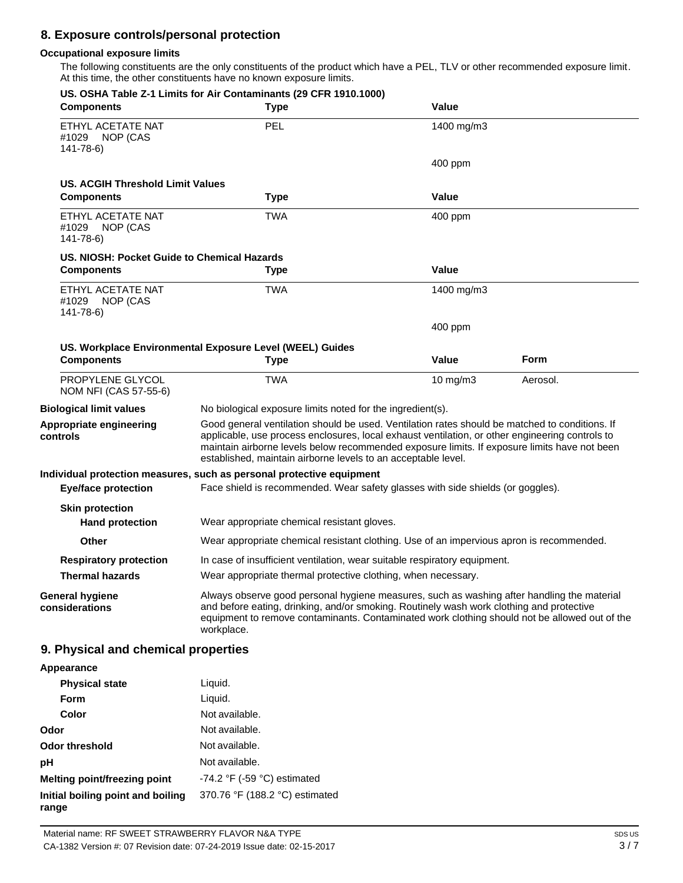## **8. Exposure controls/personal protection**

#### **Occupational exposure limits**

The following constituents are the only constituents of the product which have a PEL, TLV or other recommended exposure limit. At this time, the other constituents have no known exposure limits.

| <b>Components</b>                                        | US. OSHA Table Z-1 Limits for Air Contaminants (29 CFR 1910.1000)<br><b>Type</b>                                                                                                                                                                                                                                                                                   | Value                                                                                    |          |
|----------------------------------------------------------|--------------------------------------------------------------------------------------------------------------------------------------------------------------------------------------------------------------------------------------------------------------------------------------------------------------------------------------------------------------------|------------------------------------------------------------------------------------------|----------|
| ETHYL ACETATE NAT<br>#1029<br>NOP (CAS<br>$141 - 78 - 6$ | PEL                                                                                                                                                                                                                                                                                                                                                                | 1400 mg/m3                                                                               |          |
|                                                          |                                                                                                                                                                                                                                                                                                                                                                    | 400 ppm                                                                                  |          |
| <b>US. ACGIH Threshold Limit Values</b>                  |                                                                                                                                                                                                                                                                                                                                                                    |                                                                                          |          |
| <b>Components</b>                                        | <b>Type</b>                                                                                                                                                                                                                                                                                                                                                        | Value                                                                                    |          |
| ETHYL ACETATE NAT<br>#1029 NOP (CAS<br>$141 - 78 - 6$    | <b>TWA</b>                                                                                                                                                                                                                                                                                                                                                         | 400 ppm                                                                                  |          |
| US. NIOSH: Pocket Guide to Chemical Hazards              |                                                                                                                                                                                                                                                                                                                                                                    |                                                                                          |          |
| <b>Components</b>                                        | <b>Type</b>                                                                                                                                                                                                                                                                                                                                                        | Value                                                                                    |          |
| ETHYL ACETATE NAT<br>#1029 NOP (CAS<br>$141 - 78 - 6$    | <b>TWA</b>                                                                                                                                                                                                                                                                                                                                                         | 1400 mg/m3                                                                               |          |
|                                                          |                                                                                                                                                                                                                                                                                                                                                                    | 400 ppm                                                                                  |          |
|                                                          | US. Workplace Environmental Exposure Level (WEEL) Guides                                                                                                                                                                                                                                                                                                           |                                                                                          |          |
| <b>Components</b>                                        | <b>Type</b>                                                                                                                                                                                                                                                                                                                                                        | Value                                                                                    | Form     |
| PROPYLENE GLYCOL<br>NOM NFI (CAS 57-55-6)                | <b>TWA</b>                                                                                                                                                                                                                                                                                                                                                         | 10 mg/m $3$                                                                              | Aerosol. |
| <b>Biological limit values</b>                           | No biological exposure limits noted for the ingredient(s).                                                                                                                                                                                                                                                                                                         |                                                                                          |          |
| Appropriate engineering<br>controls                      | Good general ventilation should be used. Ventilation rates should be matched to conditions. If<br>applicable, use process enclosures, local exhaust ventilation, or other engineering controls to<br>maintain airborne levels below recommended exposure limits. If exposure limits have not been<br>established, maintain airborne levels to an acceptable level. |                                                                                          |          |
|                                                          | Individual protection measures, such as personal protective equipment                                                                                                                                                                                                                                                                                              |                                                                                          |          |
| <b>Eye/face protection</b>                               | Face shield is recommended. Wear safety glasses with side shields (or goggles).                                                                                                                                                                                                                                                                                    |                                                                                          |          |
| <b>Skin protection</b>                                   |                                                                                                                                                                                                                                                                                                                                                                    |                                                                                          |          |
| <b>Hand protection</b>                                   | Wear appropriate chemical resistant gloves.                                                                                                                                                                                                                                                                                                                        |                                                                                          |          |
| <b>Other</b>                                             |                                                                                                                                                                                                                                                                                                                                                                    | Wear appropriate chemical resistant clothing. Use of an impervious apron is recommended. |          |
| <b>Respiratory protection</b>                            | In case of insufficient ventilation, wear suitable respiratory equipment.                                                                                                                                                                                                                                                                                          |                                                                                          |          |
| <b>Thermal hazards</b>                                   | Wear appropriate thermal protective clothing, when necessary.                                                                                                                                                                                                                                                                                                      |                                                                                          |          |
| <b>General hygiene</b><br>considerations                 | Always observe good personal hygiene measures, such as washing after handling the material<br>and before eating, drinking, and/or smoking. Routinely wash work clothing and protective<br>equipment to remove contaminants. Contaminated work clothing should not be allowed out of the<br>workplace.                                                              |                                                                                          |          |
| 9. Physical and chemical properties                      |                                                                                                                                                                                                                                                                                                                                                                    |                                                                                          |          |
| Appearance                                               |                                                                                                                                                                                                                                                                                                                                                                    |                                                                                          |          |
| <b>Physical state</b>                                    | Liquid.                                                                                                                                                                                                                                                                                                                                                            |                                                                                          |          |
| Form                                                     | Liquid.                                                                                                                                                                                                                                                                                                                                                            |                                                                                          |          |
| Color                                                    | Not available.                                                                                                                                                                                                                                                                                                                                                     |                                                                                          |          |

| .                                          | -igaig.                                       |
|--------------------------------------------|-----------------------------------------------|
| Color                                      | Not available.                                |
| Odor                                       | Not available.                                |
| Odor threshold                             | Not available.                                |
| рH                                         | Not available.                                |
| Melting point/freezing point               | -74.2 $\degree$ F (-59 $\degree$ C) estimated |
| Initial boiling point and boiling<br>range | 370.76 °F (188.2 °C) estimated                |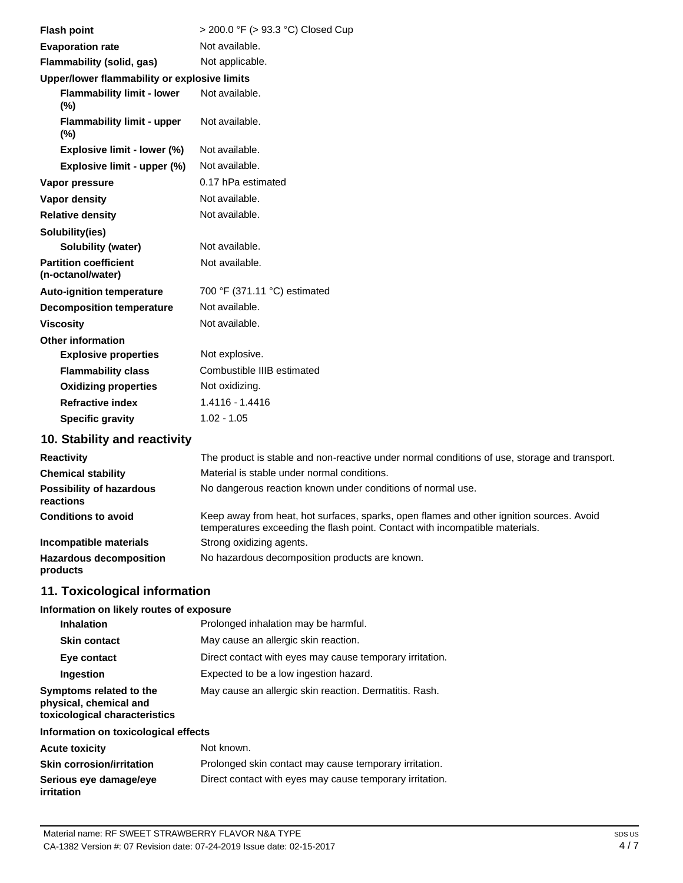| <b>Flash point</b>                                | > 200.0 °F (> 93.3 °C) Closed Cup |
|---------------------------------------------------|-----------------------------------|
| <b>Evaporation rate</b>                           | Not available.                    |
| Flammability (solid, gas)                         | Not applicable.                   |
| Upper/lower flammability or explosive limits      |                                   |
| <b>Flammability limit - lower</b><br>$(\%)$       | Not available.                    |
| <b>Flammability limit - upper</b><br>$(\%)$       | Not available.                    |
| Explosive limit - lower (%)                       | Not available.                    |
| Explosive limit - upper (%)                       | Not available.                    |
| Vapor pressure                                    | 0.17 hPa estimated                |
| Vapor density                                     | Not available.                    |
| <b>Relative density</b>                           | Not available.                    |
| Solubility(ies)                                   |                                   |
| <b>Solubility (water)</b>                         | Not available.                    |
| <b>Partition coefficient</b><br>(n-octanol/water) | Not available.                    |
| <b>Auto-ignition temperature</b>                  | 700 °F (371.11 °C) estimated      |
| <b>Decomposition temperature</b>                  | Not available.                    |
| <b>Viscosity</b>                                  | Not available.                    |
| <b>Other information</b>                          |                                   |
| <b>Explosive properties</b>                       | Not explosive.                    |
| <b>Flammability class</b>                         | Combustible IIIB estimated        |
| <b>Oxidizing properties</b>                       | Not oxidizing.                    |
| <b>Refractive index</b>                           | 1.4116 - 1.4416                   |
| <b>Specific gravity</b>                           | $1.02 - 1.05$                     |
|                                                   |                                   |

## **10. Stability and reactivity**

| <b>Reactivity</b>                            | The product is stable and non-reactive under normal conditions of use, storage and transport.                                                                            |
|----------------------------------------------|--------------------------------------------------------------------------------------------------------------------------------------------------------------------------|
| <b>Chemical stability</b>                    | Material is stable under normal conditions.                                                                                                                              |
| <b>Possibility of hazardous</b><br>reactions | No dangerous reaction known under conditions of normal use.                                                                                                              |
| <b>Conditions to avoid</b>                   | Keep away from heat, hot surfaces, sparks, open flames and other ignition sources. Avoid<br>temperatures exceeding the flash point. Contact with incompatible materials. |
| Incompatible materials                       | Strong oxidizing agents.                                                                                                                                                 |
| <b>Hazardous decomposition</b><br>products   | No hazardous decomposition products are known.                                                                                                                           |

# **11. Toxicological information**

#### **Information on likely routes of exposure**

| <b>Inhalation</b>                                                                  | Prolonged inhalation may be harmful.                     |
|------------------------------------------------------------------------------------|----------------------------------------------------------|
| <b>Skin contact</b>                                                                | May cause an allergic skin reaction.                     |
| Eye contact                                                                        | Direct contact with eyes may cause temporary irritation. |
| Ingestion                                                                          | Expected to be a low ingestion hazard.                   |
| Symptoms related to the<br>physical, chemical and<br>toxicological characteristics | May cause an allergic skin reaction. Dermatitis. Rash.   |

#### **Information on toxicological effects**

| <b>Acute toxicity</b>                       | Not known.                                               |
|---------------------------------------------|----------------------------------------------------------|
| <b>Skin corrosion/irritation</b>            | Prolonged skin contact may cause temporary irritation.   |
| Serious eye damage/eye<br><i>irritation</i> | Direct contact with eyes may cause temporary irritation. |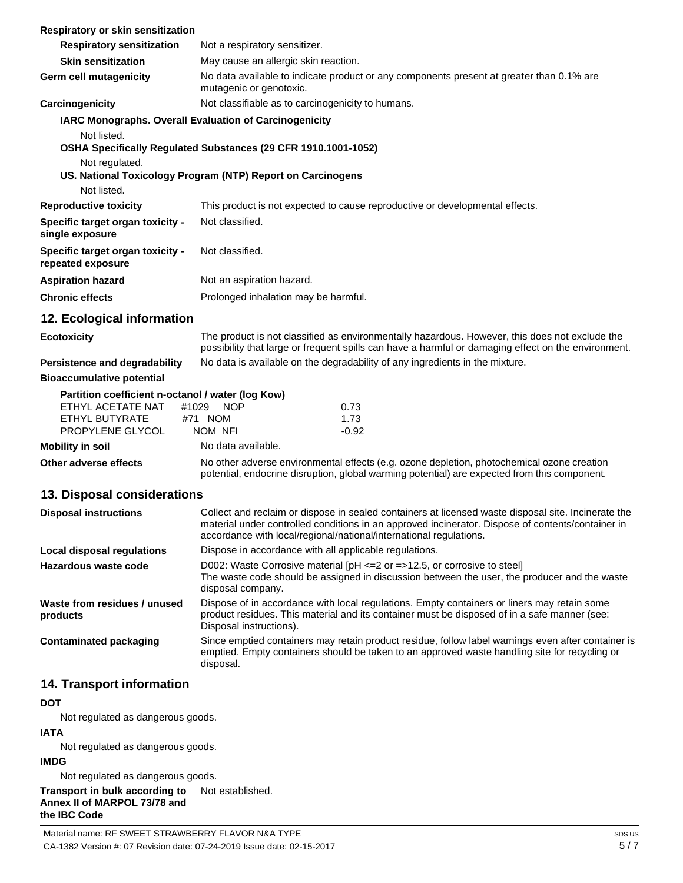| <b>Respiratory or skin sensitization</b>               |                                                                                                                                                                                                                                                                                |
|--------------------------------------------------------|--------------------------------------------------------------------------------------------------------------------------------------------------------------------------------------------------------------------------------------------------------------------------------|
| <b>Respiratory sensitization</b>                       | Not a respiratory sensitizer.                                                                                                                                                                                                                                                  |
| <b>Skin sensitization</b>                              | May cause an allergic skin reaction.                                                                                                                                                                                                                                           |
| Germ cell mutagenicity                                 | No data available to indicate product or any components present at greater than 0.1% are<br>mutagenic or genotoxic.                                                                                                                                                            |
| Carcinogenicity                                        | Not classifiable as to carcinogenicity to humans.                                                                                                                                                                                                                              |
| IARC Monographs. Overall Evaluation of Carcinogenicity |                                                                                                                                                                                                                                                                                |
| Not listed.                                            |                                                                                                                                                                                                                                                                                |
|                                                        | OSHA Specifically Regulated Substances (29 CFR 1910.1001-1052)                                                                                                                                                                                                                 |
| Not regulated.                                         |                                                                                                                                                                                                                                                                                |
| Not listed.                                            | US. National Toxicology Program (NTP) Report on Carcinogens                                                                                                                                                                                                                    |
| <b>Reproductive toxicity</b>                           | This product is not expected to cause reproductive or developmental effects.                                                                                                                                                                                                   |
| Specific target organ toxicity -                       | Not classified.                                                                                                                                                                                                                                                                |
| single exposure                                        |                                                                                                                                                                                                                                                                                |
| Specific target organ toxicity -<br>repeated exposure  | Not classified.                                                                                                                                                                                                                                                                |
| <b>Aspiration hazard</b>                               | Not an aspiration hazard.                                                                                                                                                                                                                                                      |
| <b>Chronic effects</b>                                 | Prolonged inhalation may be harmful.                                                                                                                                                                                                                                           |
| 12. Ecological information                             |                                                                                                                                                                                                                                                                                |
| <b>Ecotoxicity</b>                                     | The product is not classified as environmentally hazardous. However, this does not exclude the<br>possibility that large or frequent spills can have a harmful or damaging effect on the environment.                                                                          |
| Persistence and degradability                          | No data is available on the degradability of any ingredients in the mixture.                                                                                                                                                                                                   |
| <b>Bioaccumulative potential</b>                       |                                                                                                                                                                                                                                                                                |
| Partition coefficient n-octanol / water (log Kow)      |                                                                                                                                                                                                                                                                                |
| ETHYL ACETATE NAT<br>#1029                             | <b>NOP</b><br>0.73                                                                                                                                                                                                                                                             |
| ETHYL BUTYRATE<br>PROPYLENE GLYCOL                     | 1.73<br>#71 NOM<br>$-0.92$<br>NOM NFI                                                                                                                                                                                                                                          |
| <b>Mobility in soil</b>                                | No data available.                                                                                                                                                                                                                                                             |
| Other adverse effects                                  | No other adverse environmental effects (e.g. ozone depletion, photochemical ozone creation                                                                                                                                                                                     |
|                                                        | potential, endocrine disruption, global warming potential) are expected from this component.                                                                                                                                                                                   |
| 13. Disposal considerations                            |                                                                                                                                                                                                                                                                                |
| <b>Disposal instructions</b>                           | Collect and reclaim or dispose in sealed containers at licensed waste disposal site. Incinerate the<br>material under controlled conditions in an approved incinerator. Dispose of contents/container in<br>accordance with local/regional/national/international regulations. |
| <b>Local disposal regulations</b>                      | Dispose in accordance with all applicable regulations.                                                                                                                                                                                                                         |
| Hazardous waste code                                   | D002: Waste Corrosive material [pH <= 2 or = > 12.5, or corrosive to steel]<br>The waste code should be assigned in discussion between the user, the producer and the waste<br>disposal company.                                                                               |
| Waste from residues / unused<br>products               | Dispose of in accordance with local regulations. Empty containers or liners may retain some<br>product residues. This material and its container must be disposed of in a safe manner (see:<br>Disposal instructions).                                                         |
| <b>Contaminated packaging</b>                          | Since emptied containers may retain product residue, follow label warnings even after container is<br>emptied. Empty containers should be taken to an approved waste handling site for recycling or<br>disposal.                                                               |
| 14. Transport information                              |                                                                                                                                                                                                                                                                                |
| <b>DOT</b>                                             |                                                                                                                                                                                                                                                                                |
| Not regulated as dangerous goods.                      |                                                                                                                                                                                                                                                                                |
| <b>IATA</b>                                            |                                                                                                                                                                                                                                                                                |
| Not regulated as dangerous goods.                      |                                                                                                                                                                                                                                                                                |

**IMDG**

Not regulated as dangerous goods.

**Transport in bulk according to Annex II of MARPOL 73/78 and the IBC Code** Not established.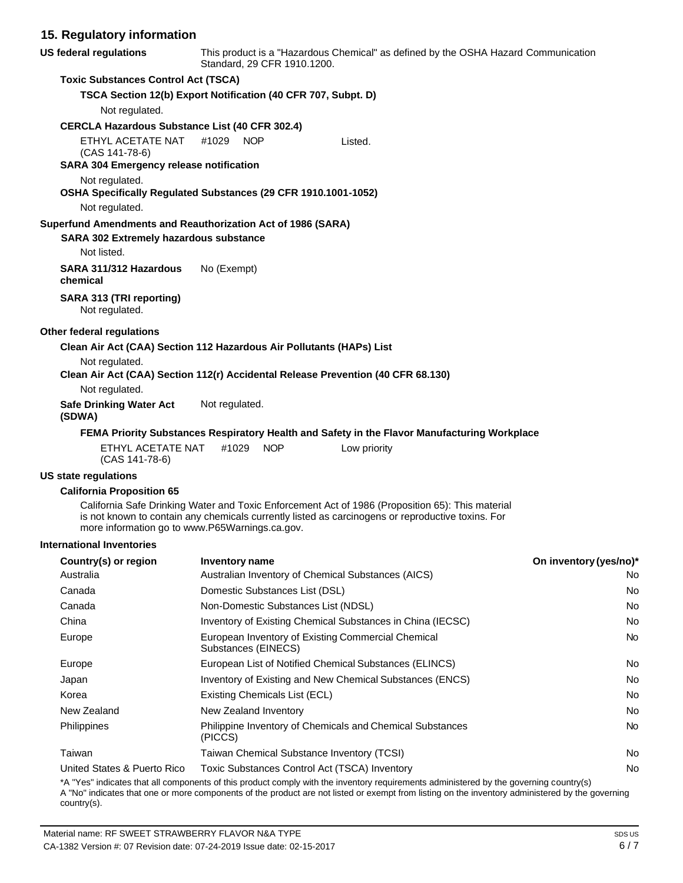#### **15. Regulatory information**

| <b>US federal regulations</b>                                                    | This product is a "Hazardous Chemical" as defined by the OSHA Hazard Communication<br>Standard, 29 CFR 1910.1200. |                                                                                                                                                                                                       |                        |
|----------------------------------------------------------------------------------|-------------------------------------------------------------------------------------------------------------------|-------------------------------------------------------------------------------------------------------------------------------------------------------------------------------------------------------|------------------------|
| <b>Toxic Substances Control Act (TSCA)</b>                                       |                                                                                                                   |                                                                                                                                                                                                       |                        |
|                                                                                  | TSCA Section 12(b) Export Notification (40 CFR 707, Subpt. D)                                                     |                                                                                                                                                                                                       |                        |
| Not regulated.                                                                   |                                                                                                                   |                                                                                                                                                                                                       |                        |
| <b>CERCLA Hazardous Substance List (40 CFR 302.4)</b>                            |                                                                                                                   |                                                                                                                                                                                                       |                        |
| ETHYL ACETATE NAT<br>(CAS 141-78-6)                                              | #1029<br><b>NOP</b>                                                                                               | Listed.                                                                                                                                                                                               |                        |
| <b>SARA 304 Emergency release notification</b>                                   |                                                                                                                   |                                                                                                                                                                                                       |                        |
| Not regulated.<br>OSHA Specifically Regulated Substances (29 CFR 1910.1001-1052) |                                                                                                                   |                                                                                                                                                                                                       |                        |
| Not regulated.                                                                   |                                                                                                                   |                                                                                                                                                                                                       |                        |
| Superfund Amendments and Reauthorization Act of 1986 (SARA)                      |                                                                                                                   |                                                                                                                                                                                                       |                        |
| <b>SARA 302 Extremely hazardous substance</b>                                    |                                                                                                                   |                                                                                                                                                                                                       |                        |
| Not listed.                                                                      |                                                                                                                   |                                                                                                                                                                                                       |                        |
| SARA 311/312 Hazardous<br>chemical                                               | No (Exempt)                                                                                                       |                                                                                                                                                                                                       |                        |
| SARA 313 (TRI reporting)<br>Not regulated.                                       |                                                                                                                   |                                                                                                                                                                                                       |                        |
| Other federal regulations                                                        |                                                                                                                   |                                                                                                                                                                                                       |                        |
| Clean Air Act (CAA) Section 112 Hazardous Air Pollutants (HAPs) List             |                                                                                                                   |                                                                                                                                                                                                       |                        |
| Not regulated.                                                                   |                                                                                                                   | Clean Air Act (CAA) Section 112(r) Accidental Release Prevention (40 CFR 68.130)                                                                                                                      |                        |
| Not regulated.                                                                   |                                                                                                                   |                                                                                                                                                                                                       |                        |
| <b>Safe Drinking Water Act</b><br>(SDWA)                                         | Not regulated.                                                                                                    |                                                                                                                                                                                                       |                        |
|                                                                                  |                                                                                                                   | FEMA Priority Substances Respiratory Health and Safety in the Flavor Manufacturing Workplace                                                                                                          |                        |
| ETHYL ACETATE NAT<br>(CAS 141-78-6)                                              | #1029<br><b>NOP</b>                                                                                               | Low priority                                                                                                                                                                                          |                        |
| US state regulations                                                             |                                                                                                                   |                                                                                                                                                                                                       |                        |
| <b>California Proposition 65</b>                                                 |                                                                                                                   |                                                                                                                                                                                                       |                        |
|                                                                                  | more information go to www.P65Warnings.ca.gov.                                                                    | California Safe Drinking Water and Toxic Enforcement Act of 1986 (Proposition 65): This material<br>is not known to contain any chemicals currently listed as carcinogens or reproductive toxins. For |                        |
| <b>International Inventories</b>                                                 |                                                                                                                   |                                                                                                                                                                                                       |                        |
| Country(s) or region                                                             | <b>Inventory name</b>                                                                                             |                                                                                                                                                                                                       | On inventory (yes/no)* |
| Australia                                                                        | Australian Inventory of Chemical Substances (AICS)<br>No                                                          |                                                                                                                                                                                                       |                        |
| Canada                                                                           | Domestic Substances List (DSL)<br>No                                                                              |                                                                                                                                                                                                       |                        |
| Canada                                                                           | Non-Domestic Substances List (NDSL)<br>No                                                                         |                                                                                                                                                                                                       |                        |
| China                                                                            | Inventory of Existing Chemical Substances in China (IECSC)<br>No                                                  |                                                                                                                                                                                                       |                        |

| United States & Puerto Rico                                                                                                                                                                                                                                                                | Toxic Substances Control Act (TSCA) Inventory | N٥ |
|--------------------------------------------------------------------------------------------------------------------------------------------------------------------------------------------------------------------------------------------------------------------------------------------|-----------------------------------------------|----|
| *A "Yes" indicates that all components of this product comply with the inventory requirements administered by the governing country(s)<br>A "No" indicates that one or more components of the product are not listed or exempt from listing on the inventory administered by the governing |                                               |    |
| country(s).                                                                                                                                                                                                                                                                                |                                               |    |

Europe **European Inventory of Existing Commercial Chemical Commercial Chemical Chemical Chemical Chemical Chemical Chemical Chemical Chemical Chemical Chemical Chemical Chemical Chemical Chemical Chemical Chemical Chemical** 

Europe **European List of Notified Chemical Substances (ELINCS)** No<br>
No Japan Inventory of Existing and New Chemical Substances (ENCS) No Korea **Existing Chemicals List (ECL)** No and the existing Chemicals List (ECL) No and the existing Chemicals List (ECL) New Zealand New Zealand Inventory No Philippines **Philippine Inventory of Chemicals and Chemical Substances** No **No** 

Taiwan **Taiwan Chemical Substance Inventory (TCSI)** No Review Allowsky No

Substances (EINECS)

(PICCS)